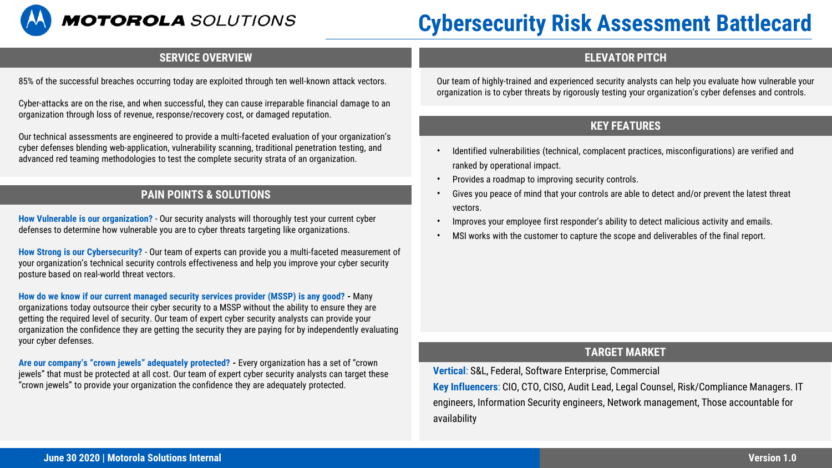

# **Cybersecurity Risk Assessment Battlecard**

### **SERVICE OVERVIEW ELEVATOR PITCH**

85% of the successful breaches occurring today are exploited through ten well-known attack vectors.

Cyber-attacks are on the rise, and when successful, they can cause irreparable financial damage to an organization through loss of revenue, response/recovery cost, or damaged reputation.

Our technical assessments are engineered to provide a multi-faceted evaluation of your organization's cyber defenses blending web-application, vulnerability scanning, traditional penetration testing, and advanced red teaming methodologies to test the complete security strata of an organization.

# **PAIN POINTS & SOLUTIONS**

**How Vulnerable is our organization?** - Our security analysts will thoroughly test your current cyber defenses to determine how vulnerable you are to cyber threats targeting like organizations.

**How Strong is our Cybersecurity?** - Our team of experts can provide you a multi-faceted measurement of your organization's technical security controls effectiveness and help you improve your cyber security posture based on real-world threat vectors.

**How do we know if our current managed security services provider (MSSP) is any good? -** Many organizations today outsource their cyber security to a MSSP without the ability to ensure they are getting the required level of security. Our team of expert cyber security analysts can provide your organization the confidence they are getting the security they are paying for by independently evaluating your cyber defenses.

**Are our company's "crown jewels" adequately protected? -** Every organization has a set of "crown jewels" that must be protected at all cost. Our team of expert cyber security analysts can target these "crown jewels" to provide your organization the confidence they are adequately protected.

Our team of highly-trained and experienced security analysts can help you evaluate how vulnerable your organization is to cyber threats by rigorously testing your organization's cyber defenses and controls.

# **KEY FEATURES**

- Identified vulnerabilities (technical, complacent practices, misconfigurations) are verified and ranked by operational impact.
- Provides a roadmap to improving security controls.
- Gives you peace of mind that your controls are able to detect and/or prevent the latest threat vectors.
- Improves your employee first responder's ability to detect malicious activity and emails.
- MSI works with the customer to capture the scope and deliverables of the final report.

#### **TARGET MARKET**

**Vertical**: S&L, Federal, Software Enterprise, Commercial

**Key Influencers**: CIO, CTO, CISO, Audit Lead, Legal Counsel, Risk/Compliance Managers. IT engineers, Information Security engineers, Network management, Those accountable for availability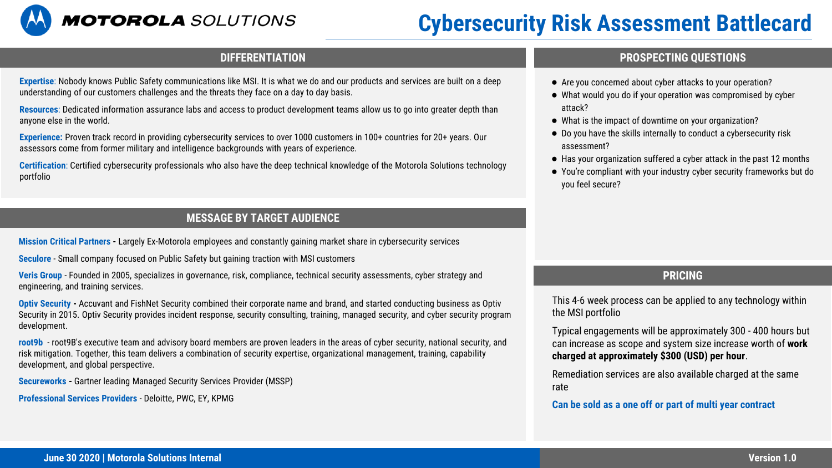

# **Cybersecurity Risk Assessment Battlecard**

**Expertise**: Nobody knows Public Safety communications like MSI. It is what we do and our products and services are built on a deep understanding of our customers challenges and the threats they face on a day to day basis.

**Resources**: Dedicated information assurance labs and access to product development teams allow us to go into greater depth than anyone else in the world.

**Experience:** Proven track record in providing cybersecurity services to over 1000 customers in 100+ countries for 20+ years. Our assessors come from former military and intelligence backgrounds with years of experience.

**Certification**: Certified cybersecurity professionals who also have the deep technical knowledge of the Motorola Solutions technology portfolio

## **MESSAGE BY TARGET AUDIENCE**

**Mission Critical Partners -** Largely Ex-Motorola employees and constantly gaining market share in cybersecurity services

**Seculore** - Small company focused on Public Safety but gaining traction with MSI customers

**Veris Group** - Founded in 2005, specializes in governance, risk, compliance, technical security assessments, cyber strategy and engineering, and training services.

**Optiv Security -** Accuvant and FishNet Security combined their corporate name and brand, and started conducting business as Optiv Security in 2015. Optiv Security provides incident response, security consulting, training, managed security, and cyber security program development.

**root9b** - root9B's executive team and advisory board members are proven leaders in the areas of cyber security, national security, and risk mitigation. Together, this team delivers a combination of security expertise, organizational management, training, capability development, and global perspective.

**Secureworks -** Gartner leading Managed Security Services Provider (MSSP)

**Professional Services Providers** - Deloitte, PWC, EY, KPMG

#### **DIFFERENTIATION PROSPECTING QUESTIONS**

- Are you concerned about cyber attacks to your operation?
- What would you do if your operation was compromised by cyber attack?
- What is the impact of downtime on your organization?
- Do you have the skills internally to conduct a cybersecurity risk assessment?
- Has your organization suffered a cyber attack in the past 12 months
- You're compliant with your industry cyber security frameworks but do you feel secure?

### **PRICING**

This 4-6 week process can be applied to any technology within the MSI portfolio

Typical engagements will be approximately 300 - 400 hours but can increase as scope and system size increase worth of **work charged at approximately \$300 (USD) per hour**.

Remediation services are also available charged at the same rate

#### **Can be sold as a one off or part of multi year contract**